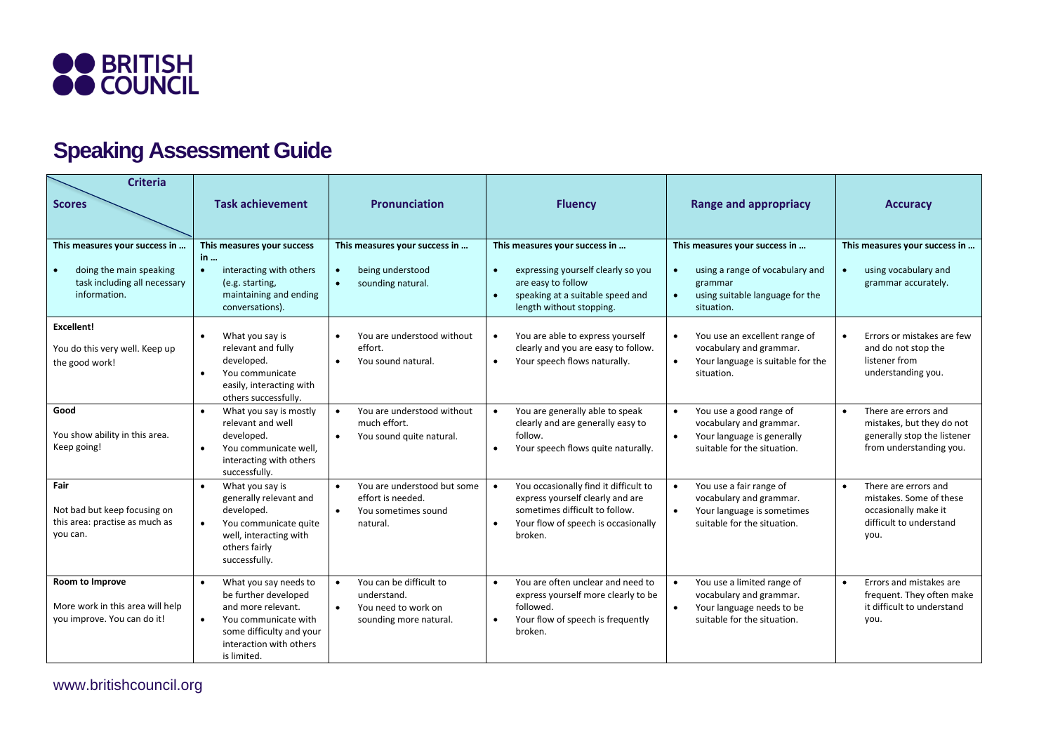

## **Speaking Assessment Guide**

| <b>Criteria</b><br><b>Scores</b>                                                                         | <b>Task achievement</b>                                                                                                                                                                     | Pronunciation                                                                                    | <b>Fluency</b>                                                                                                                                                                          | <b>Range and appropriacy</b>                                                                                                                           | <b>Accuracy</b>                                                                                             |
|----------------------------------------------------------------------------------------------------------|---------------------------------------------------------------------------------------------------------------------------------------------------------------------------------------------|--------------------------------------------------------------------------------------------------|-----------------------------------------------------------------------------------------------------------------------------------------------------------------------------------------|--------------------------------------------------------------------------------------------------------------------------------------------------------|-------------------------------------------------------------------------------------------------------------|
| This measures your success in<br>doing the main speaking<br>task including all necessary<br>information. | This measures your success<br>in<br>interacting with others<br>$\bullet$<br>(e.g. starting,<br>maintaining and ending<br>conversations).                                                    | This measures your success in<br>being understood<br>$\bullet$<br>$\bullet$<br>sounding natural. | This measures your success in<br>expressing yourself clearly so you<br>$\bullet$<br>are easy to follow<br>speaking at a suitable speed and<br>$\bullet$<br>length without stopping.     | This measures your success in<br>using a range of vocabulary and<br>$\bullet$<br>grammar<br>using suitable language for the<br>$\bullet$<br>situation. | This measures your success in<br>using vocabulary and<br>grammar accurately.                                |
| Excellent!<br>You do this very well. Keep up<br>the good work!                                           | What you say is<br>$\bullet$<br>relevant and fully<br>developed.<br>You communicate<br>$\bullet$<br>easily, interacting with<br>others successfully.                                        | You are understood without<br>$\bullet$<br>effort.<br>You sound natural.<br>$\bullet$            | You are able to express yourself<br>$\bullet$<br>clearly and you are easy to follow.<br>Your speech flows naturally.<br>$\bullet$                                                       | You use an excellent range of<br>$\bullet$<br>vocabulary and grammar.<br>Your language is suitable for the<br>$\bullet$<br>situation.                  | Errors or mistakes are few<br>and do not stop the<br>listener from<br>understanding you.                    |
| Good<br>You show ability in this area.<br>Keep going!                                                    | What you say is mostly<br>$\bullet$<br>relevant and well<br>developed.<br>You communicate well.<br>$\bullet$<br>interacting with others<br>successfully.                                    | You are understood without<br>much effort.<br>You sound quite natural.                           | You are generally able to speak<br>$\bullet$<br>clearly and are generally easy to<br>follow.<br>Your speech flows quite naturally.<br>$\bullet$                                         | You use a good range of<br>vocabulary and grammar.<br>$\bullet$<br>Your language is generally<br>suitable for the situation.                           | There are errors and<br>mistakes, but they do not<br>generally stop the listener<br>from understanding you. |
| Fair<br>Not bad but keep focusing on<br>this area: practise as much as<br>you can.                       | What you say is<br>$\bullet$<br>generally relevant and<br>developed.<br>You communicate quite<br>$\bullet$<br>well, interacting with<br>others fairly<br>successfully.                      | You are understood but some<br>effort is needed.<br>You sometimes sound<br>natural.              | You occasionally find it difficult to<br>$\bullet$<br>express yourself clearly and are<br>sometimes difficult to follow.<br>Your flow of speech is occasionally<br>$\bullet$<br>broken. | You use a fair range of<br>$\bullet$<br>vocabulary and grammar.<br>$\bullet$<br>Your language is sometimes<br>suitable for the situation.              | There are errors and<br>mistakes. Some of these<br>occasionally make it<br>difficult to understand<br>you.  |
| Room to Improve<br>More work in this area will help<br>you improve. You can do it!                       | What you say needs to<br>$\bullet$<br>be further developed<br>and more relevant.<br>You communicate with<br>$\bullet$<br>some difficulty and your<br>interaction with others<br>is limited. | You can be difficult to<br>understand.<br>You need to work on<br>sounding more natural.          | You are often unclear and need to<br>$\bullet$<br>express yourself more clearly to be<br>followed.<br>Your flow of speech is frequently<br>broken.                                      | You use a limited range of<br>$\bullet$<br>vocabulary and grammar.<br>Your language needs to be<br>$\bullet$<br>suitable for the situation.            | Errors and mistakes are<br>frequent. They often make<br>it difficult to understand<br>you.                  |